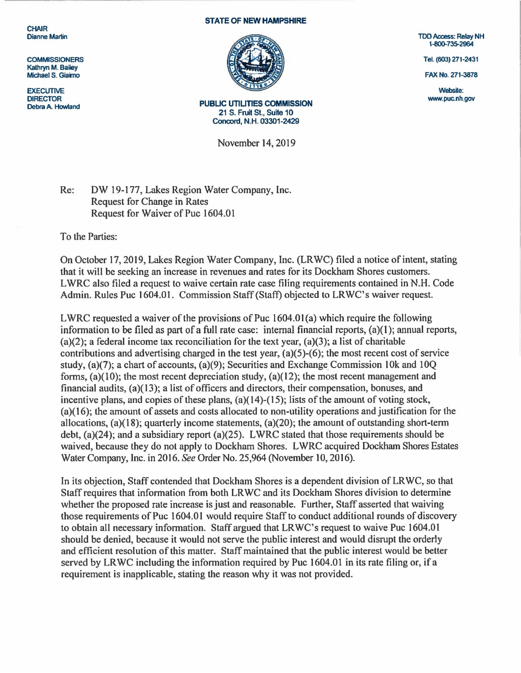**CHAIR** Dianne Martin

**COMMISSIONERS** Kathryn M. Bailey Michael S. Giaimo

**EXECUTIVE** DIRECTOR Debra A. Howland

## STATE OF NEW HAMPSHIRE



PUBLIC UTILITIES COMMISSION 21 S. Fruit St., Suite 10 Concord, N.H. 03301 -2429

November 14, 2019

TDD Access: Relay NH 1-800-735-2964

Tel. (603) 271-2431

FAX No. 271-3878

Website: www.puc.nh.gov

Re: DW 19-177, Lakes Region Water Company, Inc. Request for Change in Rates Request for Waiver of Puc 1604.01

To the Parties:

On October 17, 2019, Lakes Region Water Company, Inc. (LRWC) filed a notice of intent, stating that it will be seeking an increase in revenues and rates for its Dockham Shores customers. LWRC also filed a request to waive certain rate case filing requirements contained in N.H. Code Admin. Rules Puc 1604.01. Commission Staff (Staff) objected to LRWC's waiver request.

LWRC requested a waiver of the provisions of Puc  $1604.01(a)$  which require the following information to be filed as part of a full rate case: internal financial reports, (a)(1); annual reports,  $(a)(2)$ ; a federal income tax reconciliation for the text year,  $(a)(3)$ ; a list of charitable contributions and advertising charged in the test year, (a)(5)-(6); the most recent cost of service study, (a)(7); a chart of accounts, (a)(9); Securities and Exchange Commission 10k and 10Q forms,  $(a)(10)$ ; the most recent depreciation study,  $(a)(12)$ ; the most recent management and financial audits, (a)(13); a list of officers and directors, their compensation, bonuses, and incentive plans, and copies of these plans, (a)(14)-(15); lists of the amount of voting stock, (a)( 16); the amount of assets and costs allocated to non-utility operations and justification for the allocations, (a)(l 8); quarterly income statements, (a}(20); the amount of outstanding short-term debt,  $(a)(24)$ ; and a subsidiary report  $(a)(25)$ . LWRC stated that those requirements should be waived, because they do not apply to Dockham Shores. L WRC acquired Dockham Shores Estates Water Company, Inc. in 2016. *See* Order No. 25,964(November10, 2016).

In its objection, Staff contended that Dockham Shores is a dependent division of LR WC, so that Staff requires that information from both LRWC and its Dockham Shores division to determine whether the proposed rate increase is just and reasonable. Further, Staff asserted that waiving those requirements of Puc 1604.01 would require Staff to conduct additional rounds of discovery to obtain all necessary information. Staff argued that LRWC's request to waive Puc 1604.01 should be denied, because it would not serve the public interest and would disrupt the orderly and efficient resolution of this matter. Staff maintained that the public interest would be better served by LR WC including the information required by Puc 1604.01 in its rate filing or, if a requirement is inapplicable, stating the reason why it was not provided.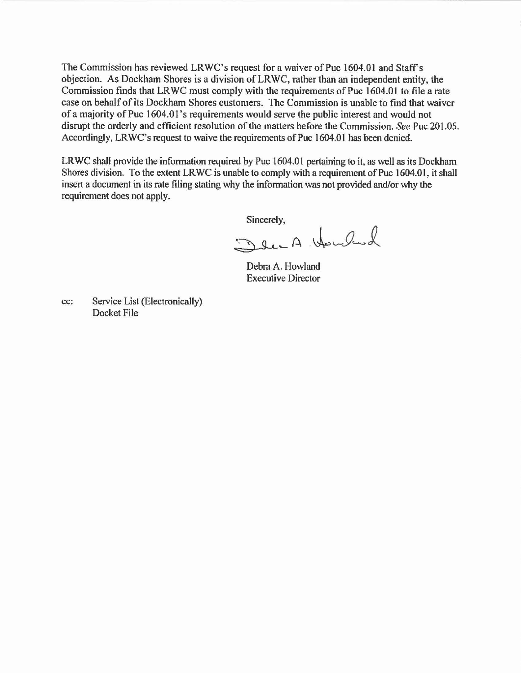The Commission has reviewed LRWC's request for a waiver of Puc 1604.01 and Staff's objection. As Dockham Shores is a division of LRWC, rather than an independent entity, the Commission finds that LRWC must comply with the requirements of Puc 1604.01 to file a rate case on behalf of its Dockham Shores customers. The Commission is unable to find that waiver of a majority of Puc 1604.0 l's requirements would serve the public interest and would not disrupt the orderly and efficient resolution of the matters before the Commission. *See* Puc 201.05. Accordingly, LRWC's request to waive the requirements of Puc 1604.01 has been denied.

LRWC shall provide the information required by Puc 1604.01 pertaining to it, as well as its Dockham Shores division. To the extent LRWC is unable to comply with a requirement of Puc 1604.01, it shall insert a document in its rate filing stating why the information was not provided and/or why the requirement does not apply.

Sincerely,

Den A Howland

Debra A. Howland Executive Director

cc: Service List (Electronically) Docket File